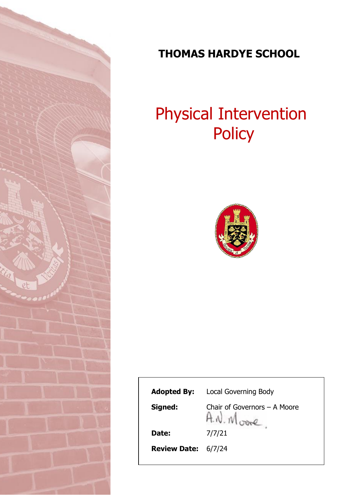

# **THOMAS HARDYE SCHOOL**

# Physical Intervention **Policy**



| <b>Adopted By:</b>         | <b>Local Governing Body</b>           |
|----------------------------|---------------------------------------|
| Signed:                    | Chair of Governors - A Moore<br>H N M |
| Date:                      | 7/7/21                                |
| <b>Review Date: 6/7/24</b> |                                       |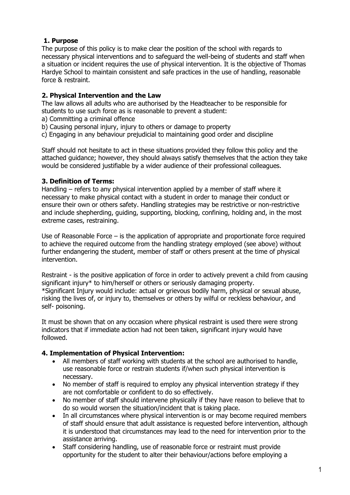## **1. Purpose**

The purpose of this policy is to make clear the position of the school with regards to necessary physical interventions and to safeguard the well-being of students and staff when a situation or incident requires the use of physical intervention. It is the objective of Thomas Hardye School to maintain consistent and safe practices in the use of handling, reasonable force & restraint.

### **2. Physical Intervention and the Law**

The law allows all adults who are authorised by the Headteacher to be responsible for students to use such force as is reasonable to prevent a student:

- a) Committing a criminal offence
- b) Causing personal injury, injury to others or damage to property
- c) Engaging in any behaviour prejudicial to maintaining good order and discipline

Staff should not hesitate to act in these situations provided they follow this policy and the attached guidance; however, they should always satisfy themselves that the action they take would be considered justifiable by a wider audience of their professional colleagues.

#### **3. Definition of Terms:**

Handling – refers to any physical intervention applied by a member of staff where it necessary to make physical contact with a student in order to manage their conduct or ensure their own or others safety. Handling strategies may be restrictive or non-restrictive and include shepherding, guiding, supporting, blocking, confining, holding and, in the most extreme cases, restraining.

Use of Reasonable Force – is the application of appropriate and proportionate force required to achieve the required outcome from the handling strategy employed (see above) without further endangering the student, member of staff or others present at the time of physical intervention.

Restraint - is the positive application of force in order to actively prevent a child from causing significant injury\* to him/herself or others or seriously damaging property. \*Significant Injury would include: actual or grievous bodily harm, physical or sexual abuse, risking the lives of, or injury to, themselves or others by wilful or reckless behaviour, and self- poisoning.

It must be shown that on any occasion where physical restraint is used there were strong indicators that if immediate action had not been taken, significant injury would have followed.

#### **4. Implementation of Physical Intervention:**

- All members of staff working with students at the school are authorised to handle, use reasonable force or restrain students if/when such physical intervention is necessary.
- No member of staff is required to employ any physical intervention strategy if they are not comfortable or confident to do so effectively.
- No member of staff should intervene physically if they have reason to believe that to do so would worsen the situation/incident that is taking place.
- In all circumstances where physical intervention is or may become required members of staff should ensure that adult assistance is requested before intervention, although it is understood that circumstances may lead to the need for intervention prior to the assistance arriving.
- Staff considering handling, use of reasonable force or restraint must provide opportunity for the student to alter their behaviour/actions before employing a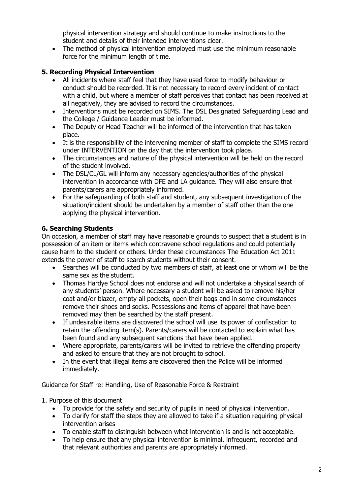physical intervention strategy and should continue to make instructions to the student and details of their intended interventions clear.

• The method of physical intervention employed must use the minimum reasonable force for the minimum length of time.

# **5. Recording Physical Intervention**

- All incidents where staff feel that they have used force to modify behaviour or conduct should be recorded. It is not necessary to record every incident of contact with a child, but where a member of staff perceives that contact has been received at all negatively, they are advised to record the circumstances.
- Interventions must be recorded on SIMS. The DSL Designated Safeguarding Lead and the College / Guidance Leader must be informed.
- The Deputy or Head Teacher will be informed of the intervention that has taken place.
- It is the responsibility of the intervening member of staff to complete the SIMS record under INTERVENTION on the day that the intervention took place.
- The circumstances and nature of the physical intervention will be held on the record of the student involved.
- The DSL/CL/GL will inform any necessary agencies/authorities of the physical intervention in accordance with DFE and LA guidance. They will also ensure that parents/carers are appropriately informed.
- For the safeguarding of both staff and student, any subsequent investigation of the situation/incident should be undertaken by a member of staff other than the one applying the physical intervention.

# **6. Searching Students**

On occasion, a member of staff may have reasonable grounds to suspect that a student is in possession of an item or items which contravene school regulations and could potentially cause harm to the student or others. Under these circumstances The Education Act 2011 extends the power of staff to search students without their consent.

- Searches will be conducted by two members of staff, at least one of whom will be the same sex as the student.
- Thomas Hardye School does not endorse and will not undertake a physical search of any students' person. Where necessary a student will be asked to remove his/her coat and/or blazer, empty all pockets, open their bags and in some circumstances remove their shoes and socks. Possessions and items of apparel that have been removed may then be searched by the staff present.
- If undesirable items are discovered the school will use its power of confiscation to retain the offending item(s). Parents/carers will be contacted to explain what has been found and any subsequent sanctions that have been applied.
- Where appropriate, parents/carers will be invited to retrieve the offending property and asked to ensure that they are not brought to school.
- In the event that illegal items are discovered then the Police will be informed immediately.

# Guidance for Staff re: Handling, Use of Reasonable Force & Restraint

1. Purpose of this document

- To provide for the safety and security of pupils in need of physical intervention.
- To clarify for staff the steps they are allowed to take if a situation requiring physical intervention arises
- To enable staff to distinguish between what intervention is and is not acceptable.
- To help ensure that any physical intervention is minimal, infrequent, recorded and that relevant authorities and parents are appropriately informed.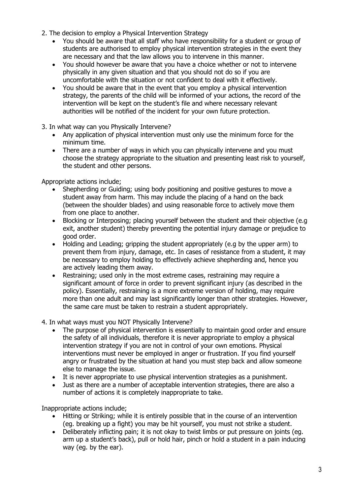- 2. The decision to employ a Physical Intervention Strategy
	- You should be aware that all staff who have responsibility for a student or group of students are authorised to employ physical intervention strategies in the event they are necessary and that the law allows you to intervene in this manner.
	- You should however be aware that you have a choice whether or not to intervene physically in any given situation and that you should not do so if you are uncomfortable with the situation or not confident to deal with it effectively.
	- You should be aware that in the event that you employ a physical intervention strategy, the parents of the child will be informed of your actions, the record of the intervention will be kept on the student's file and where necessary relevant authorities will be notified of the incident for your own future protection.
- 3. In what way can you Physically Intervene?
	- Any application of physical intervention must only use the minimum force for the minimum time.
	- There are a number of ways in which you can physically intervene and you must choose the strategy appropriate to the situation and presenting least risk to yourself, the student and other persons.

Appropriate actions include;

- Shepherding or Guiding; using body positioning and positive gestures to move a student away from harm. This may include the placing of a hand on the back (between the shoulder blades) and using reasonable force to actively move them from one place to another.
- Blocking or Interposing; placing yourself between the student and their objective (e.g exit, another student) thereby preventing the potential injury damage or prejudice to good order.
- Holding and Leading; gripping the student appropriately (e.g by the upper arm) to prevent them from injury, damage, etc. In cases of resistance from a student, it may be necessary to employ holding to effectively achieve shepherding and, hence you are actively leading them away.
- Restraining; used only in the most extreme cases, restraining may require a significant amount of force in order to prevent significant injury (as described in the policy). Essentially, restraining is a more extreme version of holding, may require more than one adult and may last significantly longer than other strategies. However, the same care must be taken to restrain a student appropriately.
- 4. In what ways must you NOT Physically Intervene?
	- The purpose of physical intervention is essentially to maintain good order and ensure the safety of all individuals, therefore it is never appropriate to employ a physical intervention strategy if you are not in control of your own emotions. Physical interventions must never be employed in anger or frustration. If you find yourself angry or frustrated by the situation at hand you must step back and allow someone else to manage the issue.
	- It is never appropriate to use physical intervention strategies as a punishment.
	- Just as there are a number of acceptable intervention strategies, there are also a number of actions it is completely inappropriate to take.

Inappropriate actions include;

- Hitting or Striking; while it is entirely possible that in the course of an intervention (eg. breaking up a fight) you may be hit yourself, you must not strike a student.
- Deliberately inflicting pain; it is not okay to twist limbs or put pressure on joints (eg. arm up a student's back), pull or hold hair, pinch or hold a student in a pain inducing way (eg. by the ear).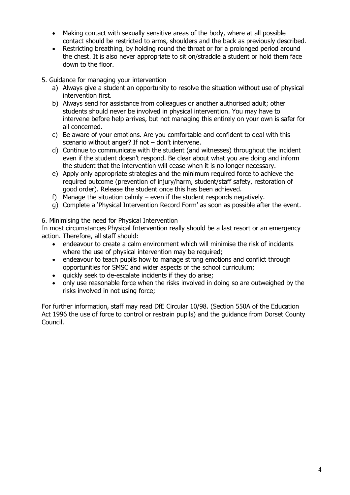- Making contact with sexually sensitive areas of the body, where at all possible contact should be restricted to arms, shoulders and the back as previously described.
- Restricting breathing, by holding round the throat or for a prolonged period around the chest. It is also never appropriate to sit on/straddle a student or hold them face down to the floor.
- 5. Guidance for managing your intervention
	- a) Always give a student an opportunity to resolve the situation without use of physical intervention first.
	- b) Always send for assistance from colleagues or another authorised adult; other students should never be involved in physical intervention. You may have to intervene before help arrives, but not managing this entirely on your own is safer for all concerned.
	- c) Be aware of your emotions. Are you comfortable and confident to deal with this scenario without anger? If not – don't intervene.
	- d) Continue to communicate with the student (and witnesses) throughout the incident even if the student doesn't respond. Be clear about what you are doing and inform the student that the intervention will cease when it is no longer necessary.
	- e) Apply only appropriate strategies and the minimum required force to achieve the required outcome (prevention of injury/harm, student/staff safety, restoration of good order). Release the student once this has been achieved.
	- f) Manage the situation calmly even if the student responds negatively.
	- g) Complete a 'Physical Intervention Record Form' as soon as possible after the event.

#### 6. Minimising the need for Physical Intervention

In most circumstances Physical Intervention really should be a last resort or an emergency action. Therefore, all staff should:

- endeavour to create a calm environment which will minimise the risk of incidents where the use of physical intervention may be required;
- endeavour to teach pupils how to manage strong emotions and conflict through opportunities for SMSC and wider aspects of the school curriculum;
- quickly seek to de-escalate incidents if they do arise;
- only use reasonable force when the risks involved in doing so are outweighed by the risks involved in not using force;

For further information, staff may read DfE Circular 10/98. (Section 550A of the Education Act 1996 the use of force to control or restrain pupils) and the guidance from Dorset County Council.